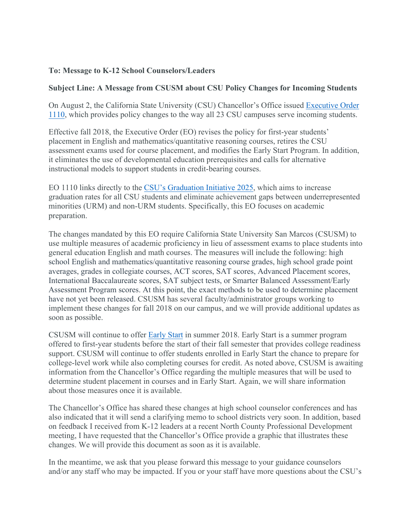## **To: Message to K-12 School Counselors/Leaders**

## **Subject Line: A Message from CSUSM about CSU Policy Changes for Incoming Students**

On August 2, the California State University (CSU) Chancellor's Office issued Executive Order 1110, which provides policy changes to the way all 23 CSU campuses serve incoming students.

Effective fall 2018, the Executive Order (EO) revises the policy for first-year students' placement in English and mathematics/quantitative reasoning courses, retires the CSU assessment exams used for course placement, and modifies the Early Start Program. In addition, it eliminates the use of developmental education prerequisites and calls for alternative instructional models to support students in credit-bearing courses.

EO 1110 links directly to the CSU's Graduation Initiative 2025, which aims to increase graduation rates for all CSU students and eliminate achievement gaps between underrepresented minorities (URM) and non-URM students. Specifically, this EO focuses on academic preparation.

The changes mandated by this EO require California State University San Marcos (CSUSM) to use multiple measures of academic proficiency in lieu of assessment exams to place students into general education English and math courses. The measures will include the following: high school English and mathematics/quantitative reasoning course grades, high school grade point averages, grades in collegiate courses, ACT scores, SAT scores, Advanced Placement scores, International Baccalaureate scores, SAT subject tests, or Smarter Balanced Assessment/Early Assessment Program scores. At this point, the exact methods to be used to determine placement have not yet been released. CSUSM has several faculty/administrator groups working to implement these changes for fall 2018 on our campus, and we will provide additional updates as soon as possible.

CSUSM will continue to offer Early Start in summer 2018. Early Start is a summer program offered to first-year students before the start of their fall semester that provides college readiness support. CSUSM will continue to offer students enrolled in Early Start the chance to prepare for college-level work while also completing courses for credit. As noted above, CSUSM is awaiting information from the Chancellor's Office regarding the multiple measures that will be used to determine student placement in courses and in Early Start. Again, we will share information about those measures once it is available.

The Chancellor's Office has shared these changes at high school counselor conferences and has also indicated that it will send a clarifying memo to school districts very soon. In addition, based on feedback I received from K-12 leaders at a recent North County Professional Development meeting, I have requested that the Chancellor's Office provide a graphic that illustrates these changes. We will provide this document as soon as it is available.

In the meantime, we ask that you please forward this message to your guidance counselors and/or any staff who may be impacted. If you or your staff have more questions about the CSU's